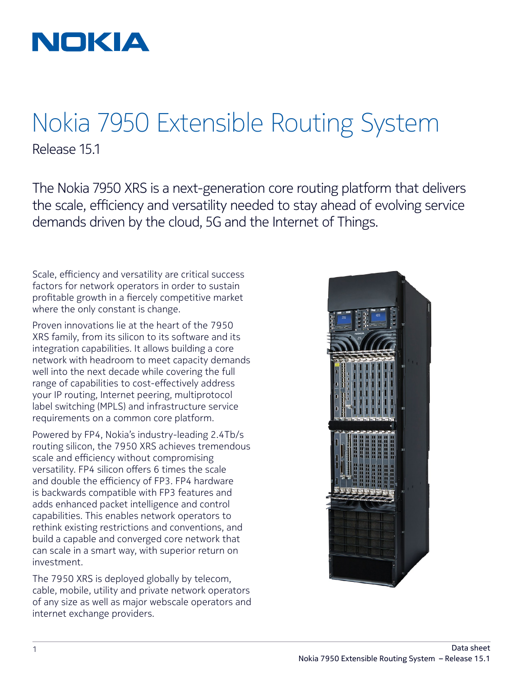

## Nokia 7950 Extensible Routing System Release 15.1

The Nokia 7950 XRS is a next-generation core routing platform that delivers the scale, efficiency and versatility needed to stay ahead of evolving service demands driven by the cloud, 5G and the Internet of Things.

Scale, efficiency and versatility are critical success factors for network operators in order to sustain profitable growth in a fiercely competitive market where the only constant is change.

Proven innovations lie at the heart of the 7950 XRS family, from its silicon to its software and its integration capabilities. It allows building a core network with headroom to meet capacity demands well into the next decade while covering the full range of capabilities to cost-effectively address your IP routing, Internet peering, multiprotocol label switching (MPLS) and infrastructure service requirements on a common core platform.

Powered by FP4, Nokia's industry-leading 2.4Tb/s routing silicon, the 7950 XRS achieves tremendous scale and efficiency without compromising versatility. FP4 silicon offers 6 times the scale and double the efficiency of FP3. FP4 hardware is backwards compatible with FP3 features and adds enhanced packet intelligence and control capabilities. This enables network operators to rethink existing restrictions and conventions, and build a capable and converged core network that can scale in a smart way, with superior return on investment.

The 7950 XRS is deployed globally by telecom, cable, mobile, utility and private network operators of any size as well as major webscale operators and internet exchange providers.

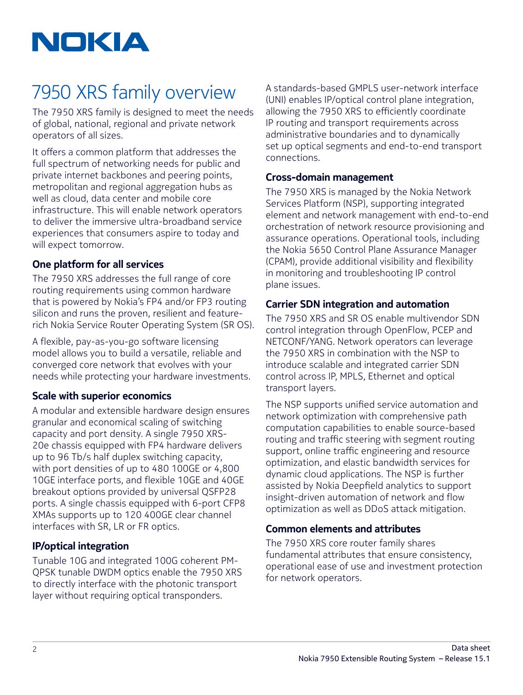

# 7950 XRS family overview

The 7950 XRS family is designed to meet the needs of global, national, regional and private network operators of all sizes.

It offers a common platform that addresses the full spectrum of networking needs for public and private internet backbones and peering points, metropolitan and regional aggregation hubs as well as cloud, data center and mobile core infrastructure. This will enable network operators to deliver the immersive ultra-broadband service experiences that consumers aspire to today and will expect tomorrow.

## **One platform for all services**

The 7950 XRS addresses the full range of core routing requirements using common hardware that is powered by Nokia's FP4 and/or FP3 routing silicon and runs the proven, resilient and featurerich Nokia Service Router Operating System (SR OS).

A flexible, pay-as-you-go software licensing model allows you to build a versatile, reliable and converged core network that evolves with your needs while protecting your hardware investments.

### **Scale with superior economics**

A modular and extensible hardware design ensures granular and economical scaling of switching capacity and port density. A single 7950 XRS-20e chassis equipped with FP4 hardware delivers up to 96 Tb/s half duplex switching capacity, with port densities of up to 480 100GE or 4,800 10GE interface ports, and flexible 10GE and 40GE breakout options provided by universal QSFP28 ports. A single chassis equipped with 6-port CFP8 XMAs supports up to 120 400GE clear channel interfaces with SR, LR or FR optics.

### **IP/optical integration**

Tunable 10G and integrated 100G coherent PM-QPSK tunable DWDM optics enable the 7950 XRS to directly interface with the photonic transport layer without requiring optical transponders.

A standards-based GMPLS user-network interface (UNI) enables IP/optical control plane integration, allowing the 7950 XRS to efficiently coordinate IP routing and transport requirements across administrative boundaries and to dynamically set up optical segments and end-to-end transport connections.

#### **Cross-domain management**

The 7950 XRS is managed by the Nokia Network Services Platform (NSP), supporting integrated element and network management with end-to-end orchestration of network resource provisioning and assurance operations. Operational tools, including the Nokia 5650 Control Plane Assurance Manager (CPAM), provide additional visibility and flexibility in monitoring and troubleshooting IP control plane issues.

### **Carrier SDN integration and automation**

The 7950 XRS and SR OS enable multivendor SDN control integration through OpenFlow, PCEP and NETCONF/YANG. Network operators can leverage the 7950 XRS in combination with the NSP to introduce scalable and integrated carrier SDN control across IP, MPLS, Ethernet and optical transport layers.

The NSP supports unified service automation and network optimization with comprehensive path computation capabilities to enable source-based routing and traffic steering with segment routing support, online traffic engineering and resource optimization, and elastic bandwidth services for dynamic cloud applications. The NSP is further assisted by Nokia Deepfield analytics to support insight-driven automation of network and flow optimization as well as DDoS attack mitigation.

## **Common elements and attributes**

The 7950 XRS core router family shares fundamental attributes that ensure consistency, operational ease of use and investment protection for network operators.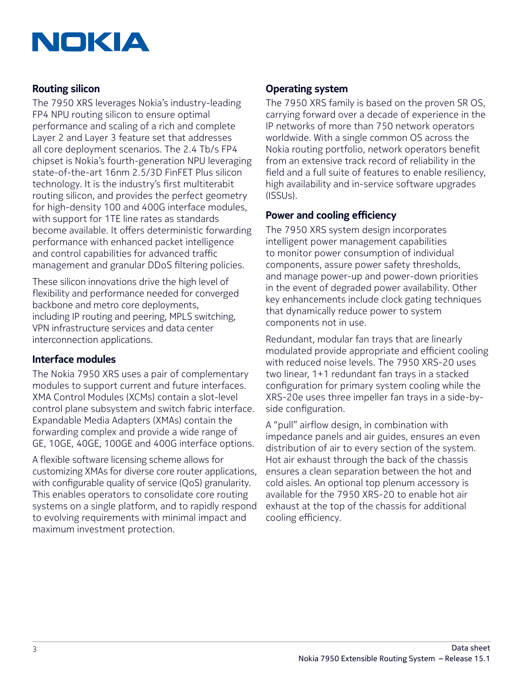

## **Routing silicon**

The 7950 XRS leverages Nokia's industry-leading FP4 NPU routing silicon to ensure optimal performance and scaling of a rich and complete Layer 2 and Layer 3 feature set that addresses all core deployment scenarios. The 2.4 Tb/s FP4 chipset is Nokia's fourth-generation NPU leveraging state-of-the-art 16nm 2.5/3D FinFET Plus silicon technology. It is the industry's first multiterabit routing silicon, and provides the perfect geometry for high-density 100 and 400G interface modules, with support for 1TE line rates as standards become available. It offers deterministic forwarding performance with enhanced packet intelligence and control capabilities for advanced traffic management and granular DDoS filtering policies.

These silicon innovations drive the high level of flexibility and performance needed for converged backbone and metro core deployments, including IP routing and peering, MPLS switching, VPN infrastructure services and data center interconnection applications.

### **Interface modules**

The Nokia 7950 XRS uses a pair of complementary modules to support current and future interfaces. XMA Control Modules (XCMs) contain a slot-level control plane subsystem and switch fabric interface. Expandable Media Adapters (XMAs) contain the forwarding complex and provide a wide range of GE, 10GE, 40GE, 100GE and 400G interface options.

A flexible software licensing scheme allows for customizing XMAs for diverse core router applications, with configurable quality of service (QoS) granularity. This enables operators to consolidate core routing systems on a single platform, and to rapidly respond to evolving requirements with minimal impact and maximum investment protection.

## **Operating system**

The 7950 XRS family is based on the proven SR OS, carrying forward over a decade of experience in the IP networks of more than 750 network operators worldwide. With a single common OS across the Nokia routing portfolio, network operators benefit from an extensive track record of reliability in the field and a full suite of features to enable resiliency, high availability and in-service software upgrades (ISSUs).

### **Power and cooling efficiency**

The 7950 XRS system design incorporates intelligent power management capabilities to monitor power consumption of individual components, assure power safety thresholds, and manage power-up and power-down priorities in the event of degraded power availability. Other key enhancements include clock gating techniques that dynamically reduce power to system components not in use.

Redundant, modular fan trays that are linearly modulated provide appropriate and efficient cooling with reduced noise levels. The 7950 XRS-20 uses two linear, 1+1 redundant fan trays in a stacked configuration for primary system cooling while the XRS-20e uses three impeller fan trays in a side-byside configuration.

A "pull" airflow design, in combination with impedance panels and air guides, ensures an even distribution of air to every section of the system. Hot air exhaust through the back of the chassis ensures a clean separation between the hot and cold aisles. An optional top plenum accessory is available for the 7950 XRS-20 to enable hot air exhaust at the top of the chassis for additional cooling efficiency.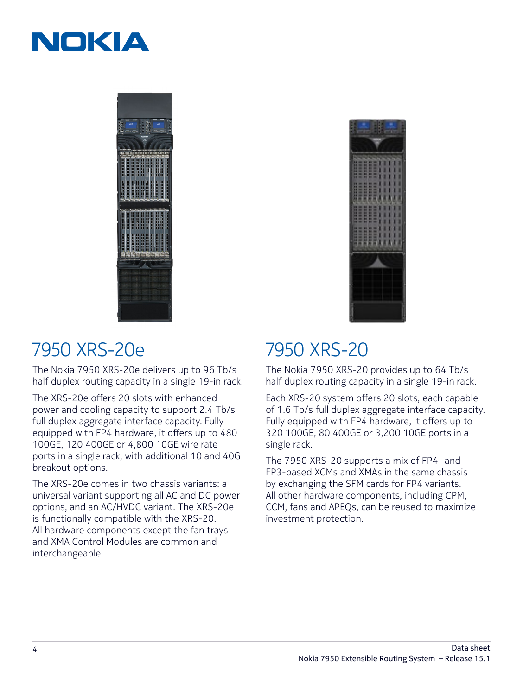





## 7950 XRS-20e

The Nokia 7950 XRS-20e delivers up to 96 Tb/s half duplex routing capacity in a single 19-in rack.

The XRS-20e offers 20 slots with enhanced power and cooling capacity to support 2.4 Tb/s full duplex aggregate interface capacity. Fully equipped with FP4 hardware, it offers up to 480 100GE, 120 400GE or 4,800 10GE wire rate ports in a single rack, with additional 10 and 40G breakout options.

The XRS-20e comes in two chassis variants: a universal variant supporting all AC and DC power options, and an AC/HVDC variant. The XRS-20e is functionally compatible with the XRS-20. All hardware components except the fan trays and XMA Control Modules are common and interchangeable.

## 7950 XRS-20

The Nokia 7950 XRS-20 provides up to 64 Tb/s half duplex routing capacity in a single 19-in rack.

Each XRS-20 system offers 20 slots, each capable of 1.6 Tb/s full duplex aggregate interface capacity. Fully equipped with FP4 hardware, it offers up to 320 100GE, 80 400GE or 3,200 10GE ports in a single rack.

The 7950 XRS-20 supports a mix of FP4- and FP3-based XCMs and XMAs in the same chassis by exchanging the SFM cards for FP4 variants. All other hardware components, including CPM, CCM, fans and APEQs, can be reused to maximize investment protection.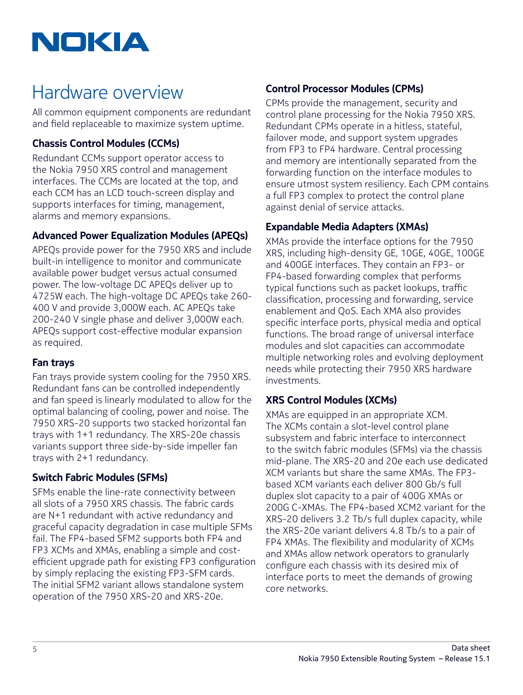

## Hardware overview

All common equipment components are redundant and field replaceable to maximize system uptime.

## **Chassis Control Modules (CCMs)**

Redundant CCMs support operator access to the Nokia 7950 XRS control and management interfaces. The CCMs are located at the top, and each CCM has an LCD touch-screen display and supports interfaces for timing, management, alarms and memory expansions.

## **Advanced Power Equalization Modules (APEQs)**

APEQs provide power for the 7950 XRS and include built-in intelligence to monitor and communicate available power budget versus actual consumed power. The low-voltage DC APEQs deliver up to 4725W each. The high-voltage DC APEQs take 260- 400 V and provide 3,000W each. AC APEQs take 200-240 V single phase and deliver 3,000W each. APEQs support cost-effective modular expansion as required.

## **Fan trays**

Fan trays provide system cooling for the 7950 XRS. Redundant fans can be controlled independently and fan speed is linearly modulated to allow for the optimal balancing of cooling, power and noise. The 7950 XRS-20 supports two stacked horizontal fan trays with 1+1 redundancy. The XRS-20e chassis variants support three side-by-side impeller fan trays with 2+1 redundancy.

## **Switch Fabric Modules (SFMs)**

SFMs enable the line-rate connectivity between all slots of a 7950 XRS chassis. The fabric cards are N+1 redundant with active redundancy and graceful capacity degradation in case multiple SFMs fail. The FP4-based SFM2 supports both FP4 and FP3 XCMs and XMAs, enabling a simple and costefficient upgrade path for existing FP3 configuration by simply replacing the existing FP3-SFM cards. The initial SFM2 variant allows standalone system operation of the 7950 XRS-20 and XRS-20e.

## **Control Processor Modules (CPMs)**

CPMs provide the management, security and control plane processing for the Nokia 7950 XRS. Redundant CPMs operate in a hitless, stateful, failover mode, and support system upgrades from FP3 to FP4 hardware. Central processing and memory are intentionally separated from the forwarding function on the interface modules to ensure utmost system resiliency. Each CPM contains a full FP3 complex to protect the control plane against denial of service attacks.

## **Expandable Media Adapters (XMAs)**

XMAs provide the interface options for the 7950 XRS, including high-density GE, 10GE, 40GE, 100GE and 400GE interfaces. They contain an FP3- or FP4-based forwarding complex that performs typical functions such as packet lookups, traffic classification, processing and forwarding, service enablement and QoS. Each XMA also provides specific interface ports, physical media and optical functions. The broad range of universal interface modules and slot capacities can accommodate multiple networking roles and evolving deployment needs while protecting their 7950 XRS hardware investments.

## **XRS Control Modules (XCMs)**

XMAs are equipped in an appropriate XCM. The XCMs contain a slot-level control plane subsystem and fabric interface to interconnect to the switch fabric modules (SFMs) via the chassis mid-plane. The XRS-20 and 20e each use dedicated XCM variants but share the same XMAs. The FP3 based XCM variants each deliver 800 Gb/s full duplex slot capacity to a pair of 400G XMAs or 200G C-XMAs. The FP4-based XCM2 variant for the XRS-20 delivers 3.2 Tb/s full duplex capacity, while the XRS-20e variant delivers 4.8 Tb/s to a pair of FP4 XMAs. The flexibility and modularity of XCMs and XMAs allow network operators to granularly configure each chassis with its desired mix of interface ports to meet the demands of growing core networks.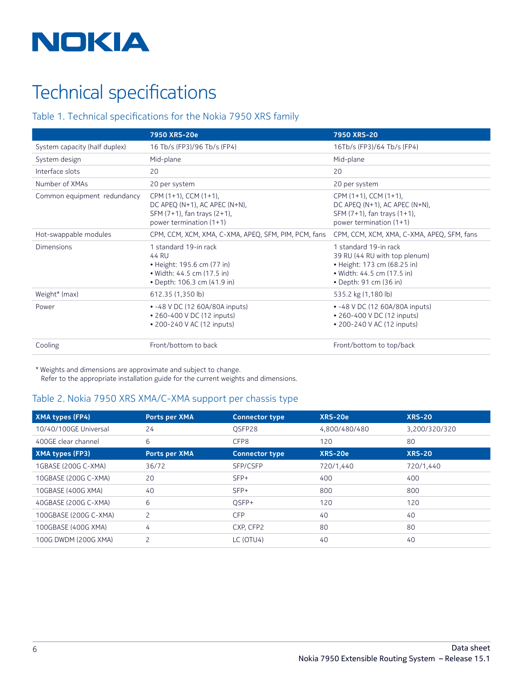

# Technical specifications

### Table 1. Technical specifications for the Nokia 7950 XRS family

|                               | 7950 XRS-20e                                                                                                                                                                                                                           | 7950 XRS-20                                                                                                                                   |  |
|-------------------------------|----------------------------------------------------------------------------------------------------------------------------------------------------------------------------------------------------------------------------------------|-----------------------------------------------------------------------------------------------------------------------------------------------|--|
| System capacity (half duplex) | 16 Tb/s (FP3)/96 Tb/s (FP4)                                                                                                                                                                                                            | 16Tb/s (FP3)/64 Tb/s (FP4)                                                                                                                    |  |
| System design                 | Mid-plane                                                                                                                                                                                                                              | Mid-plane                                                                                                                                     |  |
| Interface slots               | 20                                                                                                                                                                                                                                     | 20                                                                                                                                            |  |
| Number of XMAs                | 20 per system                                                                                                                                                                                                                          | 20 per system                                                                                                                                 |  |
| Common equipment redundancy   | CPM (1+1), CCM (1+1),<br>CPM (1+1), CCM (1+1),<br>DC APEQ (N+1), AC APEC (N+N),<br>DC APEQ (N+1), AC APEC (N+N),<br>SFM (7+1), fan trays (2+1),<br>SFM (7+1), fan trays (1+1),<br>power termination (1+1)<br>power termination $(1+1)$ |                                                                                                                                               |  |
| Hot-swappable modules         | CPM, CCM, XCM, XMA, C-XMA, APEQ, SFM, PIM, PCM, fans                                                                                                                                                                                   | CPM, CCM, XCM, XMA, C-XMA, APEQ, SFM, fans                                                                                                    |  |
| Dimensions                    | 1 standard 19-in rack<br>44 RU<br>• Height: 195.6 cm (77 in)<br>• Width: 44.5 cm (17.5 in)<br>• Depth: 106.3 cm (41.9 in)                                                                                                              | 1 standard 19-in rack<br>39 RU (44 RU with top plenum)<br>• Height: 173 cm (68.25 in)<br>• Width: 44.5 cm (17.5 in)<br>• Depth: 91 cm (36 in) |  |
| Weight* (max)                 | 612.35 (1,350 lb)                                                                                                                                                                                                                      | 535.2 kg (1,180 lb)                                                                                                                           |  |
| Power                         | • -48 V DC (12 60A/80A inputs)<br>• 260-400 V DC (12 inputs)<br>• 200-240 V AC (12 inputs)                                                                                                                                             | • -48 V DC (12 60A/80A inputs)<br>• 260-400 V DC (12 inputs)<br>• 200-240 V AC (12 inputs)                                                    |  |
| Cooling                       | Front/bottom to back                                                                                                                                                                                                                   | Front/bottom to top/back                                                                                                                      |  |

\* Weights and dimensions are approximate and subject to change. Refer to the appropriate installation guide for the current weights and dimensions.

#### Table 2. Nokia 7950 XRS XMA/C-XMA support per chassis type

| XMA types (FP4)        | Ports per XMA  | <b>Connector type</b> | XRS-20e       | <b>XRS-20</b> |
|------------------------|----------------|-----------------------|---------------|---------------|
| 10/40/100GE Universal  | 24             | OSFP28                | 4,800/480/480 | 3,200/320/320 |
| 400GE clear channel    | 6              | CFP8                  | 120           | 80            |
| <b>XMA types (FP3)</b> | Ports per XMA  | <b>Connector type</b> | XRS-20e       | <b>XRS-20</b> |
| 1GBASE (200G C-XMA)    | 36/72          | SFP/CSFP              | 720/1,440     | 720/1,440     |
| 10GBASE (200G C-XMA)   | 20             | $SFP+$                | 400           | 400           |
| 10GBASE (400G XMA)     | 40             | $SFP+$                | 800           | 800           |
| 40GBASE (200G C-XMA)   | 6              | OSFP+                 | 120           | 120           |
| 100GBASE (200G C-XMA)  | 2              | <b>CFP</b>            | 40            | 40            |
| 100GBASE (400G XMA)    | 4              | CXP, CFP2             | 80            | 80            |
| 100G DWDM (200G XMA)   | $\overline{c}$ | LC (OTU4)             | 40            | 40            |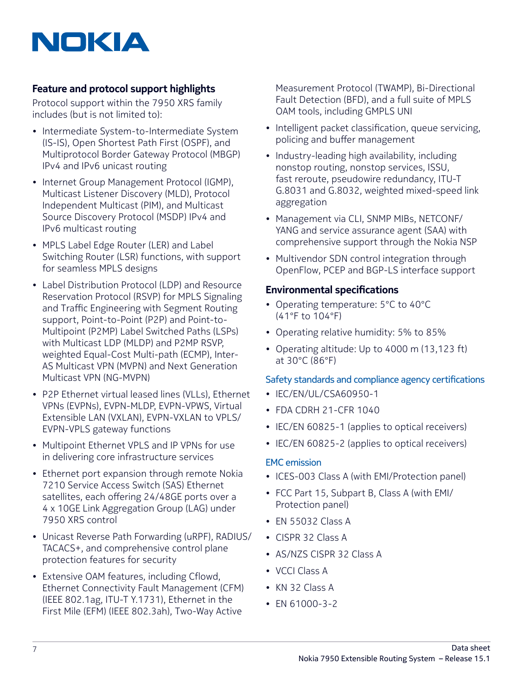

## **Feature and protocol support highlights**

Protocol support within the 7950 XRS family includes (but is not limited to):

- Intermediate System-to-Intermediate System (IS-IS), Open Shortest Path First (OSPF), and Multiprotocol Border Gateway Protocol (MBGP) IPv4 and IPv6 unicast routing
- Internet Group Management Protocol (IGMP), Multicast Listener Discovery (MLD), Protocol Independent Multicast (PIM), and Multicast Source Discovery Protocol (MSDP) IPv4 and IPv6 multicast routing
- MPLS Label Edge Router (LER) and Label Switching Router (LSR) functions, with support for seamless MPLS designs
- Label Distribution Protocol (LDP) and Resource Reservation Protocol (RSVP) for MPLS Signaling and Traffic Engineering with Segment Routing support, Point-to-Point (P2P) and Point-to-Multipoint (P2MP) Label Switched Paths (LSPs) with Multicast LDP (MLDP) and P2MP RSVP, weighted Equal-Cost Multi-path (ECMP), Inter-AS Multicast VPN (MVPN) and Next Generation Multicast VPN (NG-MVPN)
- P2P Ethernet virtual leased lines (VLLs), Ethernet VPNs (EVPNs), EVPN-MLDP, EVPN-VPWS, Virtual Extensible LAN (VXLAN), EVPN-VXLAN to VPLS/ EVPN-VPLS gateway functions
- Multipoint Ethernet VPLS and IP VPNs for use in delivering core infrastructure services
- Ethernet port expansion through remote Nokia 7210 Service Access Switch (SAS) Ethernet satellites, each offering 24/48GE ports over a 4 x 10GE Link Aggregation Group (LAG) under 7950 XRS control
- Unicast Reverse Path Forwarding (uRPF), RADIUS/ TACACS+, and comprehensive control plane protection features for security
- Extensive OAM features, including Cflowd, Ethernet Connectivity Fault Management (CFM) (IEEE 802.1ag, ITU-T Y.1731), Ethernet in the First Mile (EFM) (IEEE 802.3ah), Two-Way Active

Measurement Protocol (TWAMP), Bi-Directional Fault Detection (BFD), and a full suite of MPLS OAM tools, including GMPLS UNI

- Intelligent packet classification, queue servicing, policing and buffer management
- Industry-leading high availability, including nonstop routing, nonstop services, ISSU, fast reroute, pseudowire redundancy, ITU-T G.8031 and G.8032, weighted mixed-speed link aggregation
- Management via CLI, SNMP MIBs, NETCONF/ YANG and service assurance agent (SAA) with comprehensive support through the Nokia NSP
- Multivendor SDN control integration through OpenFlow, PCEP and BGP-LS interface support

### **Environmental specifications**

- Operating temperature: 5°C to 40°C (41°F to 104°F)
- Operating relative humidity: 5% to 85%
- Operating altitude: Up to 4000 m (13,123 ft) at 30°C (86°F)

### Safety standards and compliance agency certifications

- IEC/EN/UL/CSA60950-1
- FDA CDRH 21-CFR 1040
- IEC/EN 60825-1 (applies to optical receivers)
- IEC/EN 60825-2 (applies to optical receivers)

#### EMC emission

- ICES-003 Class A (with EMI/Protection panel)
- FCC Part 15, Subpart B, Class A (with EMI/ Protection panel)
- EN 55032 Class A
- CISPR 32 Class A
- AS/NZS CISPR 32 Class A
- VCCI Class A
- KN 32 Class A
- EN 61000-3-2